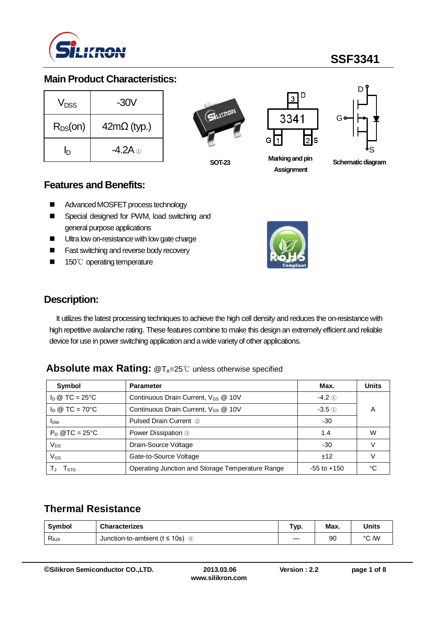

#### **Main Product Characteristics:**

| $V_{DSS}$    | -30V                          |
|--------------|-------------------------------|
| $R_{DS}(on)$ | $42m\Omega$ (typ.)            |
| In           | -4.2A $\scriptstyle\rm \odot$ |

**SOT-23**



**Marking and pin Assignment**



**Schematic diagram** 

#### **Features and Benefits:**

- Advanced MOSFET process technology
- Special designed for PWM, load switching and general purpose applications
- **Ultra low on-resistance with low gate charge**
- **Fast switching and reverse body recovery**
- 150℃ operating temperature



#### **Description:**

It utilizes the latest processing techniques to achieve the high cell density and reduces the on-resistance with high repetitive avalanche rating. These features combine to make this design an extremely efficient and reliable device for use in power switching application and a wide variety of other applications.

#### **Absolute max Rating: @T<sub>A</sub>=25℃ unless otherwise specified**

| Symbol                         | <b>Parameter</b>                                 | Max.            | <b>Units</b> |
|--------------------------------|--------------------------------------------------|-----------------|--------------|
| $I_D \otimes TC = 25^{\circ}C$ | Continuous Drain Current, V <sub>GS</sub> @ 10V  | $-4.2$ ①        |              |
| $I_D \otimes TC = 70^{\circ}C$ | Continuous Drain Current, V <sub>GS</sub> @ 10V  | $-3.5$ (1)      | А            |
| <b>I</b> DM                    | <b>Pulsed Drain Current 2</b>                    | -30             |              |
| $P_D$ @TC = 25°C               | Power Dissipation 3                              | 1.4             | W            |
| $V_{DS}$                       | Drain-Source Voltage                             | -30             |              |
| $V_{GS}$                       | Gate-to-Source Voltage                           | ±12             |              |
| l stg                          | Operating Junction and Storage Temperature Range | $-55$ to $+150$ | ℃            |

### **Thermal Resistance**

| Symbol         | <b>Characterizes</b>                | Typ. | Max. | Units |
|----------------|-------------------------------------|------|------|-------|
| $R_{\theta$ JA | Junction-to-ambient ( $t \le 10$ s) | __   | 90   | °C /W |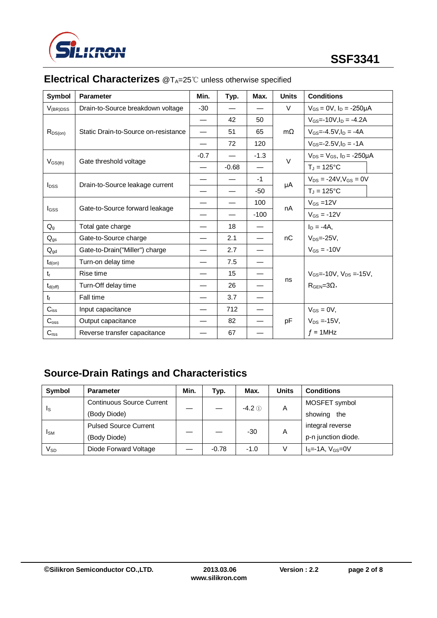

| Symbol                  | <b>Parameter</b>                     | Min.   | Typ.    | Max.   | <b>Units</b> | <b>Conditions</b>                      |
|-------------------------|--------------------------------------|--------|---------|--------|--------------|----------------------------------------|
| $V_{(BR)DSS}$           | Drain-to-Source breakdown voltage    | $-30$  |         |        | V            | $V_{GS} = 0V$ , $I_D = -250\mu A$      |
|                         |                                      |        | 42      | 50     |              | $V_{GS}$ =-10V, $I_D$ = -4.2A          |
| $R_{DS(on)}$            | Static Drain-to-Source on-resistance |        | 51      | 65     | $m\Omega$    | $V_{GS} = -4.5V I_D = -4A$             |
|                         |                                      |        | 72      | 120    |              | $V_{GS} = -2.5 V I_D = -1 A$           |
|                         | Gate threshold voltage               | $-0.7$ |         | $-1.3$ | $\vee$       | $V_{DS} = V_{GS}$ , $I_D = -250 \mu A$ |
| $V_{GS(th)}$            |                                      |        | $-0.68$ |        |              | $T_J = 125$ °C                         |
|                         |                                      |        |         | $-1$   |              | $V_{DS} = -24V, V_{GS} = 0V$           |
| <b>I</b> <sub>pss</sub> | Drain-to-Source leakage current      |        |         | -50    | μA           | $T_J = 125$ °C                         |
|                         | Gate-to-Source forward leakage       |        |         | 100    | nA           | $V_{GS} = 12V$                         |
| Igss                    |                                      |        |         | $-100$ |              | $V_{GS} = -12V$                        |
| $Q_{q}$                 | Total gate charge                    |        | 18      |        |              | $I_D = -4A$ ,                          |
| $Q_{gs}$                | Gate-to-Source charge                |        | 2.1     |        | nC           | $V_{DS} = -25V$ ,                      |
| $Q_{gd}$                | Gate-to-Drain("Miller") charge       |        | 2.7     |        |              | $V_{GS} = -10V$                        |
| $t_{d(on)}$             | Turn-on delay time                   |        | 7.5     |        |              |                                        |
| $t_{r}$                 | Rise time                            |        | 15      |        |              | $V_{GS}$ =-10V, $V_{DS}$ =-15V.        |
| $t_{d(off)}$            | Turn-Off delay time                  |        | 26      |        | ns           | $RGEN=3Ω$ ,                            |
| $t_{\rm f}$             | Fall time                            |        | 3.7     |        |              |                                        |
| $C_{iss}$               | Input capacitance                    |        | 712     |        |              | $V_{GS} = 0V$ ,                        |
| $C_{\rm oss}$           | Output capacitance                   |        | 82      |        | pF           | $V_{DS} = -15V,$                       |
| $C_{\text{rss}}$        | Reverse transfer capacitance         |        | 67      |        |              | $f = 1$ MHz                            |

# **Electrical Characterizes** @T<sub>A</sub>=25℃ unless otherwise specified

# **Source-Drain Ratings and Characteristics**

| Symbol                 | <b>Parameter</b>                 | Min. | Typ.    | Max.     | Units | <b>Conditions</b>   |
|------------------------|----------------------------------|------|---------|----------|-------|---------------------|
| Is                     | <b>Continuous Source Current</b> |      |         | $-4.2$ ① | A     | MOSFET symbol       |
|                        | (Body Diode)                     |      |         |          |       | showing<br>the      |
| <b>I</b> <sub>SM</sub> | <b>Pulsed Source Current</b>     |      |         | $-30$    | A     | integral reverse    |
|                        | (Body Diode)                     |      |         |          |       | p-n junction diode. |
| Vsd                    | Diode Forward Voltage            |      | $-0.78$ | $-1.0$   | V     | $IS=-1A, VGS=0V$    |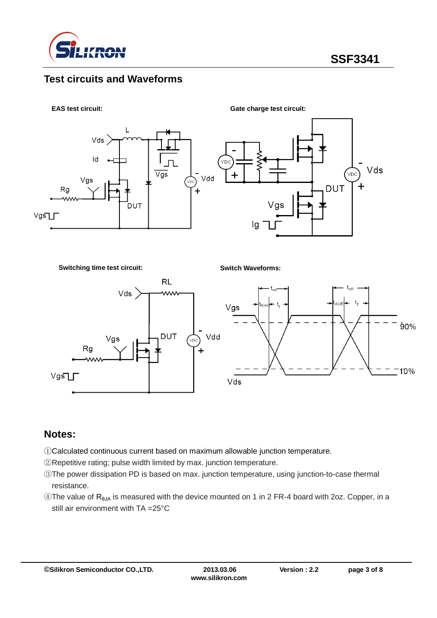

#### **Test circuits and Waveforms**



**Switching time test circuit:**

**Switch Waveforms:**



### **Notes:**

- ①Calculated continuous current based on maximum allowable junction temperature.
- ②Repetitive rating; pulse width limited by max. junction temperature.
- ③The power dissipation PD is based on max. junction temperature, using junction-to-case thermal resistance.
- ④The value of RθJA is measured with the device mounted on 1 in 2 FR-4 board with 2oz. Copper, in a still air environment with TA =25°C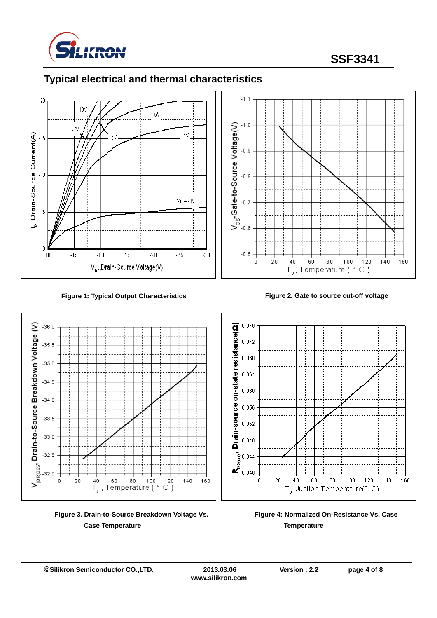

# **SSF3341**

## **Typical electrical and thermal characteristics**





**Figure 1: Typical Output Characteristics Figure 2. Gate to source cut-off voltage**



**Figure 3. Drain-to-Source Breakdown Voltage Vs. Case Temperature**



Drain-to-Source Breakdown Voltage (V)

 $-36.0$ 

 $-35.5$ 

 $-35.0$ 

 $-34.5$ 

 $-34.0$ 

 $-33.5$ 

 $-33.0$ 

 $-32.5$ 

 $\Omega$ 

 $\overline{20}$ 

 $V_{\rm (BRI)SS}$  $32.0$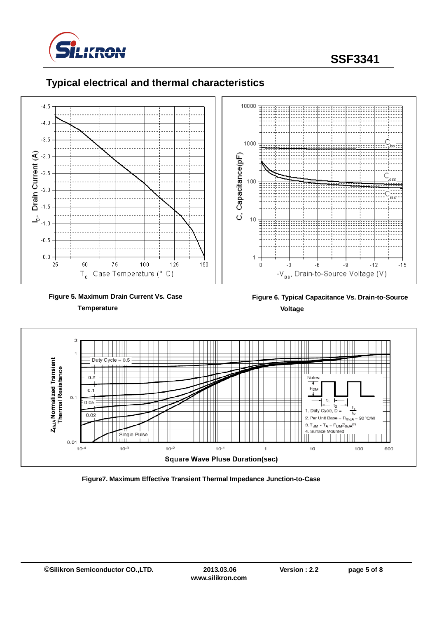

**SSF3341**



#### **Typical electrical and thermal characteristics**



 **Figure 6. Typical Capacitance Vs. Drain-to-Source Voltage**



**Figure7. Maximum Effective Transient Thermal Impedance Junction-to-Case**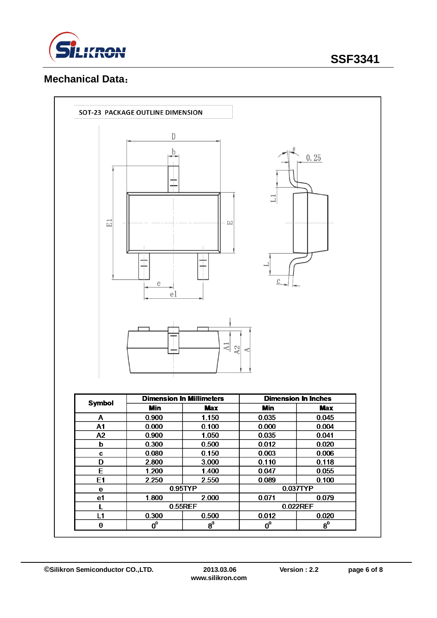

## **Mechanical Data**:

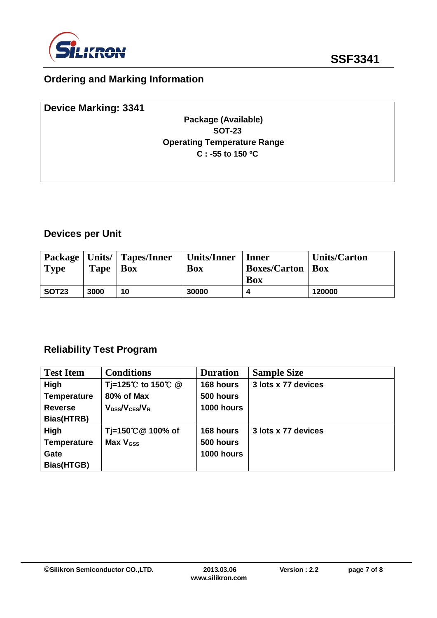

# **Ordering and Marking Information**

| <b>Device Marking: 3341</b> |                                    |  |
|-----------------------------|------------------------------------|--|
|                             | Package (Available)                |  |
|                             | <b>SOT-23</b>                      |  |
|                             | <b>Operating Temperature Range</b> |  |
|                             | $C: -55$ to 150 °C                 |  |
|                             |                                    |  |
|                             |                                    |  |

## **Devices per Unit**

| <b>Type</b>       | <b>Tape</b> | <b>Package   Units/   Tapes/Inner</b><br>Box | Units/Inner<br>Box | <b>Inner</b><br><b>Boxes/Carton   Box</b> | <b>Units/Carton</b> |
|-------------------|-------------|----------------------------------------------|--------------------|-------------------------------------------|---------------------|
|                   |             |                                              |                    | <b>Box</b>                                |                     |
| SOT <sub>23</sub> | 3000        | 10                                           | 30000              |                                           | 120000              |

### **Reliability Test Program**

| <b>Test Item</b>   | <b>Conditions</b>     | <b>Duration</b> | <b>Sample Size</b>  |
|--------------------|-----------------------|-----------------|---------------------|
| High               | Tj=125℃ to 150℃ @     | 168 hours       | 3 lots x 77 devices |
| <b>Temperature</b> | 80% of Max            | 500 hours       |                     |
| <b>Reverse</b>     | $V_{DSS}/V_{CES}/V_R$ | 1000 hours      |                     |
| Bias(HTRB)         |                       |                 |                     |
| High               | Tj=150℃ @ 100% of     | 168 hours       | 3 lots x 77 devices |
| <b>Temperature</b> | Max $V_{\text{GSS}}$  | 500 hours       |                     |
| Gate               |                       | 1000 hours      |                     |
| Bias(HTGB)         |                       |                 |                     |